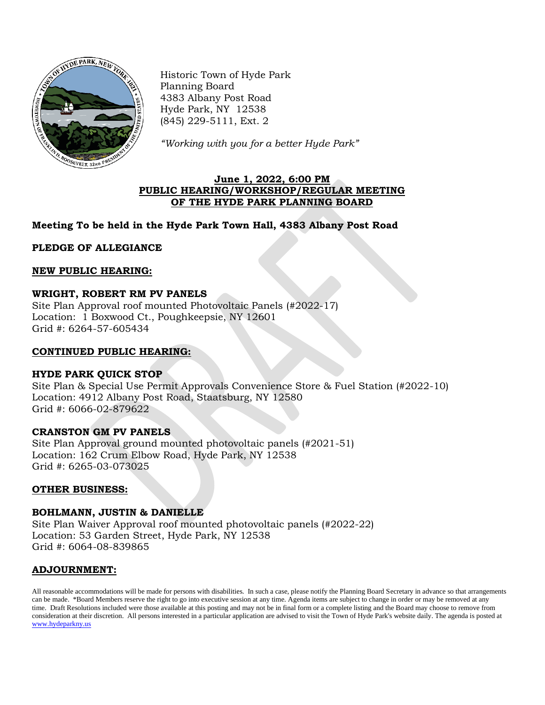

Historic Town of Hyde Park Planning Board 4383 Albany Post Road Hyde Park, NY 12538 (845) 229-5111, Ext. 2

*"Working with you for a better Hyde Park"*

## **June 1, 2022, 6:00 PM PUBLIC HEARING/WORKSHOP/REGULAR MEETING OF THE HYDE PARK PLANNING BOARD**

# **Meeting To be held in the Hyde Park Town Hall, 4383 Albany Post Road**

**PLEDGE OF ALLEGIANCE**

### **NEW PUBLIC HEARING:**

## **WRIGHT, ROBERT RM PV PANELS**

Site Plan Approval roof mounted Photovoltaic Panels (#2022-17) Location: 1 Boxwood Ct., Poughkeepsie, NY 12601 Grid #: 6264-57-605434

#### **CONTINUED PUBLIC HEARING:**

#### **HYDE PARK QUICK STOP**

Site Plan & Special Use Permit Approvals Convenience Store & Fuel Station (#2022-10) Location: 4912 Albany Post Road, Staatsburg, NY 12580 Grid #: 6066-02-879622

#### **CRANSTON GM PV PANELS**

Site Plan Approval ground mounted photovoltaic panels (#2021-51) Location: 162 Crum Elbow Road, Hyde Park, NY 12538 Grid #: 6265-03-073025

#### **OTHER BUSINESS:**

#### **BOHLMANN, JUSTIN & DANIELLE**

Site Plan Waiver Approval roof mounted photovoltaic panels (#2022-22) Location: 53 Garden Street, Hyde Park, NY 12538 Grid #: 6064-08-839865

#### **ADJOURNMENT:**

All reasonable accommodations will be made for persons with disabilities. In such a case, please notify the Planning Board Secretary in advance so that arrangements can be made. \*Board Members reserve the right to go into executive session at any time. Agenda items are subject to change in order or may be removed at any time. Draft Resolutions included were those available at this posting and may not be in final form or a complete listing and the Board may choose to remove from consideration at their discretion. All persons interested in a particular application are advised to visit the Town of Hyde Park's website daily. The agenda is posted at [www.hydeparkny.us](http://www.hydeparkny.us/)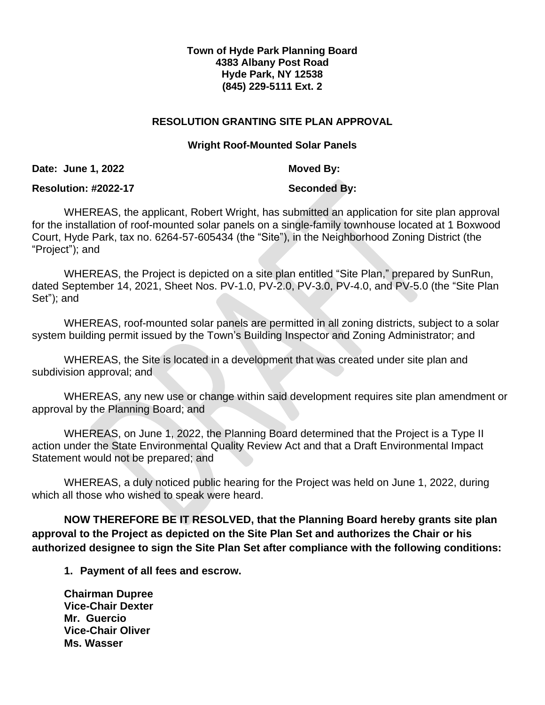# **Town of Hyde Park Planning Board 4383 Albany Post Road Hyde Park, NY 12538 (845) 229-5111 Ext. 2**

# **RESOLUTION GRANTING SITE PLAN APPROVAL**

## **Wright Roof-Mounted Solar Panels**

**Date: June 1, 2022 Moved By:** 

## **Resolution: #2022-17 Seconded By:**

WHEREAS, the applicant, Robert Wright, has submitted an application for site plan approval for the installation of roof-mounted solar panels on a single-family townhouse located at 1 Boxwood Court, Hyde Park, tax no. 6264-57-605434 (the "Site"), in the Neighborhood Zoning District (the "Project"); and

WHEREAS, the Project is depicted on a site plan entitled "Site Plan," prepared by SunRun, dated September 14, 2021, Sheet Nos. PV-1.0, PV-2.0, PV-3.0, PV-4.0, and PV-5.0 (the "Site Plan Set"); and

WHEREAS, roof-mounted solar panels are permitted in all zoning districts, subject to a solar system building permit issued by the Town's Building Inspector and Zoning Administrator; and

WHEREAS, the Site is located in a development that was created under site plan and subdivision approval; and

WHEREAS, any new use or change within said development requires site plan amendment or approval by the Planning Board; and

WHEREAS, on June 1, 2022, the Planning Board determined that the Project is a Type II action under the State Environmental Quality Review Act and that a Draft Environmental Impact Statement would not be prepared; and

WHEREAS, a duly noticed public hearing for the Project was held on June 1, 2022, during which all those who wished to speak were heard.

**NOW THEREFORE BE IT RESOLVED, that the Planning Board hereby grants site plan approval to the Project as depicted on the Site Plan Set and authorizes the Chair or his authorized designee to sign the Site Plan Set after compliance with the following conditions:**

**1. Payment of all fees and escrow.**

**Chairman Dupree Vice-Chair Dexter Mr. Guercio Vice-Chair Oliver Ms. Wasser**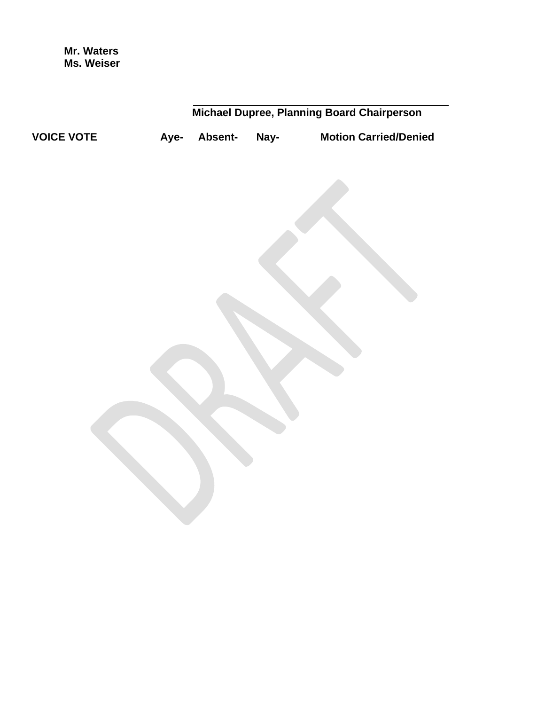